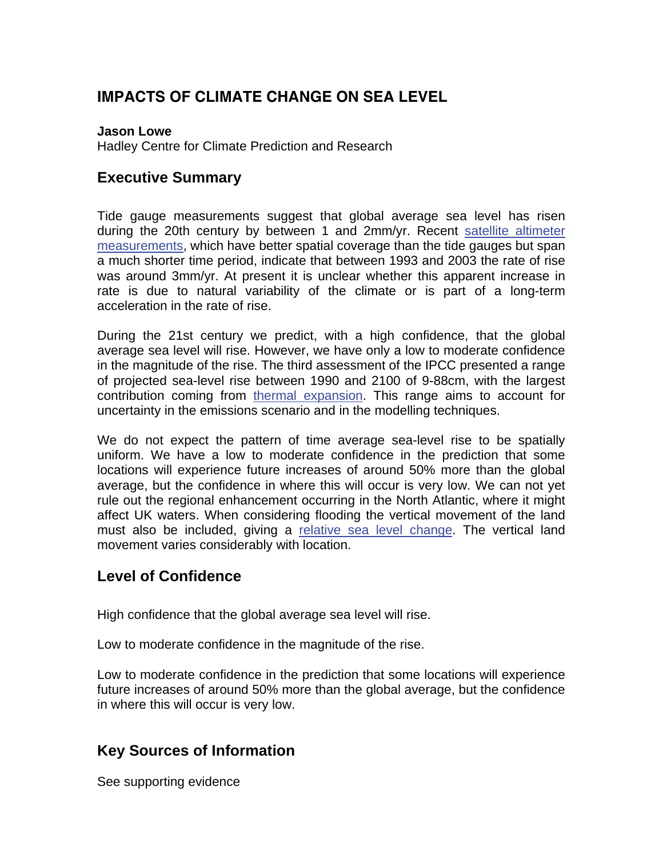# **IMPACTS OF CLIMATE CHANGE ON SEA LEVEL**

#### **Jason Lowe**

Hadley Centre for Climate Prediction and Research

#### **Executive Summary**

Tide gauge measurements suggest that global average sea level has risen during the 20th century by between 1 and 2mm/yr. Recent [satellite altimeter](http://www.mccip.org.uk/arc/glossary.htm) [measurements,](http://www.mccip.org.uk/arc/glossary.htm) which have better spatial coverage than the tide gauges but span a much shorter time period, indicate that between 1993 and 2003 the rate of rise was around 3mm/yr. At present it is unclear whether this apparent increase in rate is due to natural variability of the climate or is part of a long-term acceleration in the rate of rise.

During the 21st century we predict, with a high confidence, that the global average sea level will rise. However, we have only a low to moderate confidence in the magnitude of the rise. The third assessment of the IPCC presented a range of projected sea-level rise between 1990 and 2100 of 9-88cm, with the largest contribution coming from [thermal expansion.](http://www.mccip.org.uk/arc/glossary.htm) This range aims to account for uncertainty in the emissions scenario and in the modelling techniques.

We do not expect the pattern of time average sea-level rise to be spatially uniform. We have a low to moderate confidence in the prediction that some locations will experience future increases of around 50% more than the global average, but the confidence in where this will occur is very low. We can not yet rule out the regional enhancement occurring in the North Atlantic, where it might affect UK waters. When considering flooding the vertical movement of the land must also be included, giving a [relative sea level change.](http://www.mccip.org.uk/arc/glossary.htm) The vertical land movement varies considerably with location.

### **Level of Confidence**

High confidence that the global average sea level will rise.

Low to moderate confidence in the magnitude of the rise.

Low to moderate confidence in the prediction that some locations will experience future increases of around 50% more than the global average, but the confidence in where this will occur is very low.

### **Key Sources of Information**

See supporting evidence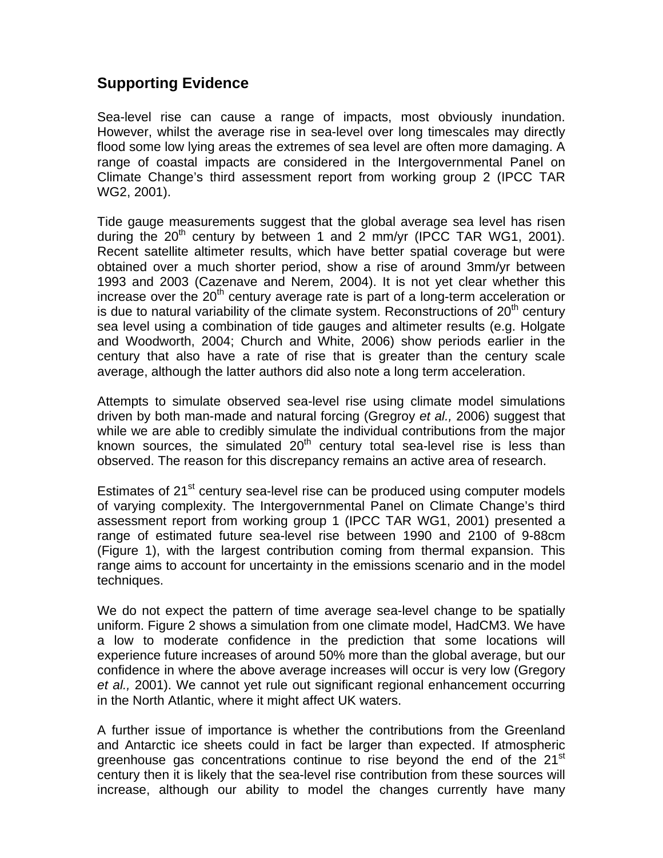## **Supporting Evidence**

Sea-level rise can cause a range of impacts, most obviously inundation. However, whilst the average rise in sea-level over long timescales may directly flood some low lying areas the extremes of sea level are often more damaging. A range of coastal impacts are considered in the Intergovernmental Panel on Climate Change's third assessment report from working group 2 (IPCC TAR WG2, 2001).

Tide gauge measurements suggest that the global average sea level has risen during the  $20^{th}$  century by between 1 and 2 mm/yr (IPCC TAR WG1, 2001). Recent satellite altimeter results, which have better spatial coverage but were obtained over a much shorter period, show a rise of around 3mm/yr between 1993 and 2003 (Cazenave and Nerem, 2004). It is not yet clear whether this increase over the  $20<sup>th</sup>$  century average rate is part of a long-term acceleration or is due to natural variability of the climate system. Reconstructions of  $20<sup>th</sup>$  century sea level using a combination of tide gauges and altimeter results (e.g. Holgate and Woodworth, 2004; Church and White, 2006) show periods earlier in the century that also have a rate of rise that is greater than the century scale average, although the latter authors did also note a long term acceleration.

Attempts to simulate observed sea-level rise using climate model simulations driven by both man-made and natural forcing (Gregroy *et al.,* 2006) suggest that while we are able to credibly simulate the individual contributions from the major known sources, the simulated  $20<sup>th</sup>$  century total sea-level rise is less than observed. The reason for this discrepancy remains an active area of research.

Estimates of 21<sup>st</sup> century sea-level rise can be produced using computer models of varying complexity. The Intergovernmental Panel on Climate Change's third assessment report from working group 1 (IPCC TAR WG1, 2001) presented a range of estimated future sea-level rise between 1990 and 2100 of 9-88cm (Figure 1), with the largest contribution coming from thermal expansion. This range aims to account for uncertainty in the emissions scenario and in the model techniques.

We do not expect the pattern of time average sea-level change to be spatially uniform. Figure 2 shows a simulation from one climate model, HadCM3. We have a low to moderate confidence in the prediction that some locations will experience future increases of around 50% more than the global average, but our confidence in where the above average increases will occur is very low (Gregory *et al.,* 2001). We cannot yet rule out significant regional enhancement occurring in the North Atlantic, where it might affect UK waters.

A further issue of importance is whether the contributions from the Greenland and Antarctic ice sheets could in fact be larger than expected. If atmospheric greenhouse gas concentrations continue to rise beyond the end of the  $21<sup>st</sup>$ century then it is likely that the sea-level rise contribution from these sources will increase, although our ability to model the changes currently have many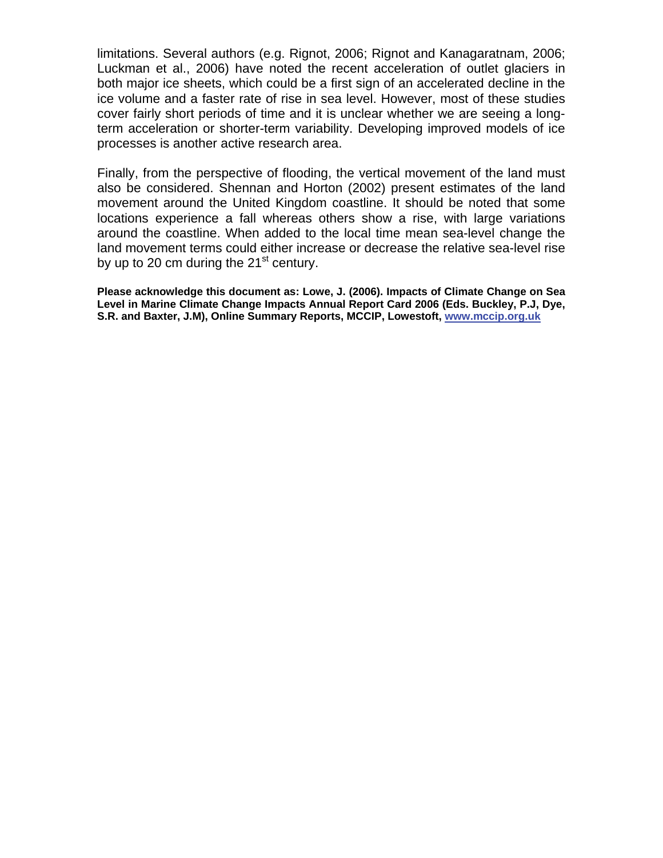limitations. Several authors (e.g. Rignot, 2006; Rignot and Kanagaratnam, 2006; Luckman et al., 2006) have noted the recent acceleration of outlet glaciers in both major ice sheets, which could be a first sign of an accelerated decline in the ice volume and a faster rate of rise in sea level. However, most of these studies cover fairly short periods of time and it is unclear whether we are seeing a longterm acceleration or shorter-term variability. Developing improved models of ice processes is another active research area.

Finally, from the perspective of flooding, the vertical movement of the land must also be considered. Shennan and Horton (2002) present estimates of the land movement around the United Kingdom coastline. It should be noted that some locations experience a fall whereas others show a rise, with large variations around the coastline. When added to the local time mean sea-level change the land movement terms could either increase or decrease the relative sea-level rise by up to 20 cm during the  $21<sup>st</sup>$  century.

**Please acknowledge this document as: Lowe, J. (2006). Impacts of Climate Change on Sea Level in Marine Climate Change Impacts Annual Report Card 2006 (Eds. Buckley, P.J, Dye, S.R. and Baxter, J.M), Online Summary Reports, MCCIP, Lowestoft, [www.mccip.org.uk](http://www.mccip.org.uk/)**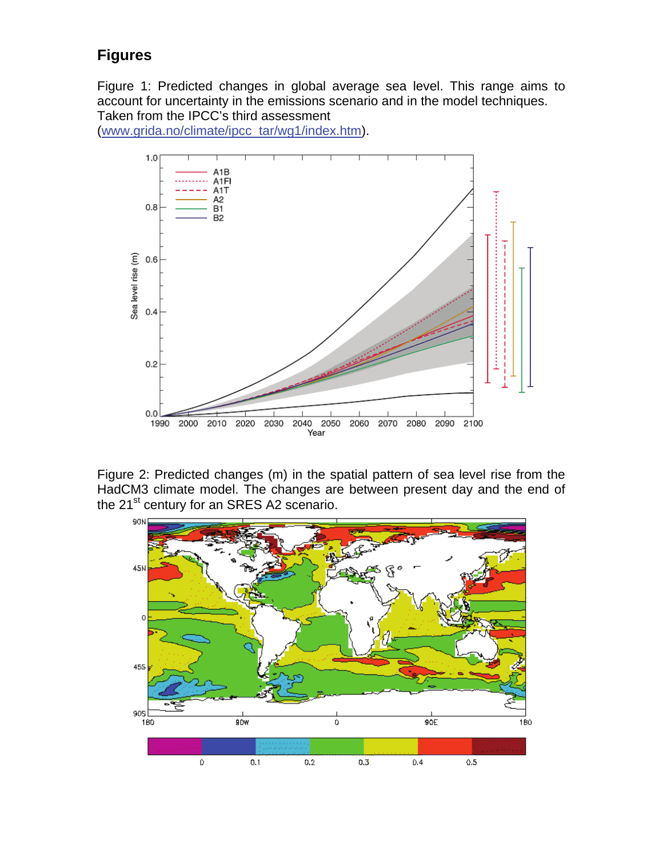# **Figures**

Figure 1: Predicted changes in global average sea level. This range aims to account for uncertainty in the emissions scenario and in the model techniques. Taken from the IPCC's third assessment

([www.grida.no/climate/ipcc\\_tar/wg1/index.htm\)](http://www.grida.no/climate/ipcc_tar/wg1/index.htm).



Figure 2: Predicted changes (m) in the spatial pattern of sea level rise from the HadCM3 climate model. The changes are between present day and the end of the 21<sup>st</sup> century for an SRES A2 scenario.